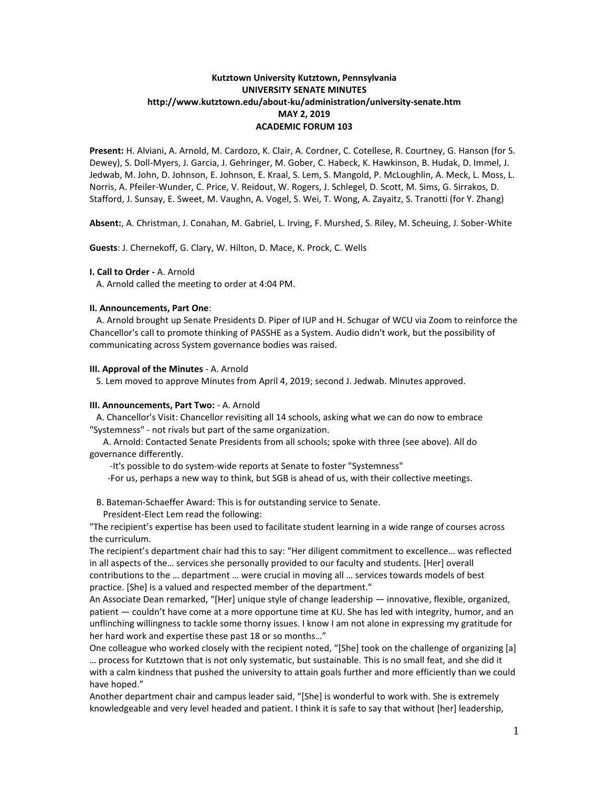# **Kutztown University Kutztown, Pennsylvania UNIVERSITY SENATE MINUTES http://www.kutztown.edu/about-ku/administration/university-senate.htm MAY 2, 2019 ACADEMIC FORUM 103**

**Present:** H. Alviani, A. Arnold, M. Cardozo, K. Clair, A. Cordner, C. Cotellese, R. Courtney, G. Hanson (for S. Dewey), S. Doll-Myers, J. Garcia, J. Gehringer, M. Gober, C. Habeck, K. Hawkinson, B. Hudak, D. Immel, J. Jedwab, M. John, D. Johnson, E. Johnson, E. Kraal, S. Lem, S. Mangold, P. McLoughlin, A. Meck, L. Moss, L. Norris, A. Pfeiler-Wunder, C. Price, V. Reidout, W. Rogers, J. Schlegel, D. Scott, M. Sims, G. Sirrakos, D. Stafford, J. Sunsay, E. Sweet, M. Vaughn, A. Vogel, S. Wei, T. Wong, A. Zayaitz, S. Tranotti (for Y. Zhang)

**Absent:**, A. Christman, J. Conahan, M. Gabriel, L. Irving, F. Murshed, S. Riley, M. Scheuing, J. Sober-White

**Guests**: J. Chernekoff, G. Clary, W. Hilton, D. Mace, K. Prock, C. Wells

## **I. Call to Order -** A. Arnold

A. Arnold called the meeting to order at 4:04 PM.

## **II. Announcements, Part One**:

 A. Arnold brought up Senate Presidents D. Piper of IUP and H. Schugar of WCU via Zoom to reinforce the Chancellor's call to promote thinking of PASSHE as a System. Audio didn't work, but the possibility of communicating across System governance bodies was raised.

### **III. Approval of the Minutes** - A. Arnold

S. Lem moved to approve Minutes from April 4, 2019; second J. Jedwab. Minutes approved.

### **III. Announcements, Part Two:** - A. Arnold

 A. Chancellor's Visit: Chancellor revisiting all 14 schools, asking what we can do now to embrace "Systemness" - not rivals but part of the same organization.

 A. Arnold: Contacted Senate Presidents from all schools; spoke with three (see above). All do governance differently.

-It's possible to do system-wide reports at Senate to foster "Systemness"

-For us, perhaps a new way to think, but SGB is ahead of us, with their collective meetings.

B. Bateman-Schaeffer Award: This is for outstanding service to Senate.

President-Elect Lem read the following:

"The recipient's expertise has been used to facilitate student learning in a wide range of courses across the curriculum.

The recipient's department chair had this to say: "Her diligent commitment to excellence… was reflected in all aspects of the… services she personally provided to our faculty and students. [Her] overall contributions to the … department … were crucial in moving all … services towards models of best practice. [She] is a valued and respected member of the department."

An Associate Dean remarked, "[Her] unique style of change leadership — innovative, flexible, organized, patient — couldn't have come at a more opportune time at KU. She has led with integrity, humor, and an unflinching willingness to tackle some thorny issues. I know I am not alone in expressing my gratitude for her hard work and expertise these past 18 or so months…"

One colleague who worked closely with the recipient noted, "[She] took on the challenge of organizing [a] … process for Kutztown that is not only systematic, but sustainable. This is no small feat, and she did it with a calm kindness that pushed the university to attain goals further and more efficiently than we could have hoped."

Another department chair and campus leader said, "[She] is wonderful to work with. She is extremely knowledgeable and very level headed and patient. I think it is safe to say that without [her] leadership,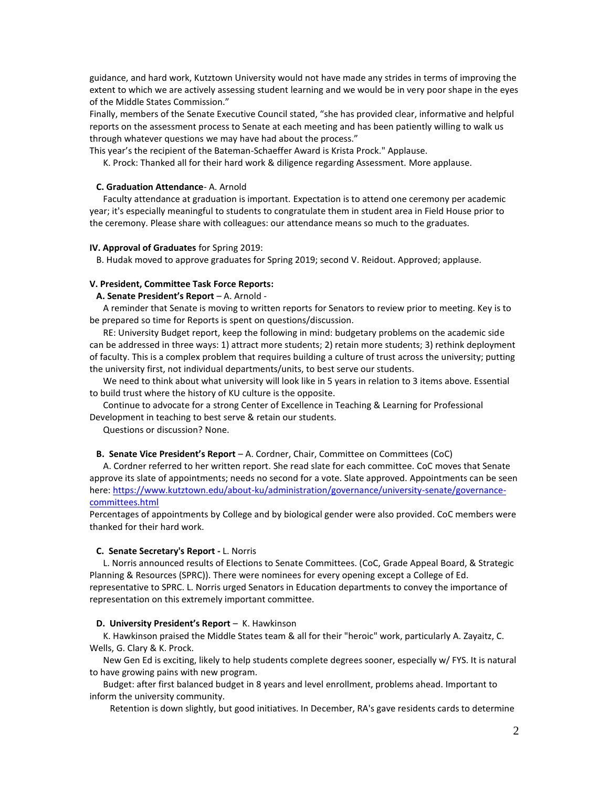guidance, and hard work, Kutztown University would not have made any strides in terms of improving the extent to which we are actively assessing student learning and we would be in very poor shape in the eyes of the Middle States Commission."

Finally, members of the Senate Executive Council stated, "she has provided clear, informative and helpful reports on the assessment process to Senate at each meeting and has been patiently willing to walk us through whatever questions we may have had about the process."

This year's the recipient of the Bateman-Schaeffer Award is Krista Prock." Applause.

K. Prock: Thanked all for their hard work & diligence regarding Assessment. More applause.

## **C. Graduation Attendance**- A. Arnold

 Faculty attendance at graduation is important. Expectation is to attend one ceremony per academic year; it's especially meaningful to students to congratulate them in student area in Field House prior to the ceremony. Please share with colleagues: our attendance means so much to the graduates.

#### **IV. Approval of Graduates** for Spring 2019:

B. Hudak moved to approve graduates for Spring 2019; second V. Reidout. Approved; applause.

## **V. President, Committee Task Force Reports:**

 **A. Senate President's Report** – A. Arnold -

 A reminder that Senate is moving to written reports for Senators to review prior to meeting. Key is to be prepared so time for Reports is spent on questions/discussion.

 RE: University Budget report, keep the following in mind: budgetary problems on the academic side can be addressed in three ways: 1) attract more students; 2) retain more students; 3) rethink deployment of faculty. This is a complex problem that requires building a culture of trust across the university; putting the university first, not individual departments/units, to best serve our students.

 We need to think about what university will look like in 5 years in relation to 3 items above. Essential to build trust where the history of KU culture is the opposite.

 Continue to advocate for a strong Center of Excellence in Teaching & Learning for Professional Development in teaching to best serve & retain our students.

Questions or discussion? None.

## **B. Senate Vice President's Report** – A. Cordner, Chair, Committee on Committees (CoC)

 A. Cordner referred to her written report. She read slate for each committee. CoC moves that Senate approve its slate of appointments; needs no second for a vote. Slate approved. Appointments can be seen here[: https://www.kutztown.edu/about-ku/administration/governance/university-senate/governance](https://www.kutztown.edu/about-ku/administration/governance/university-senate/governance-committees.html)[committees.html](https://www.kutztown.edu/about-ku/administration/governance/university-senate/governance-committees.html)

Percentages of appointments by College and by biological gender were also provided. CoC members were thanked for their hard work.

## **C. Senate Secretary's Report -** L. Norris

 L. Norris announced results of Elections to Senate Committees. (CoC, Grade Appeal Board, & Strategic Planning & Resources (SPRC)). There were nominees for every opening except a College of Ed. representative to SPRC. L. Norris urged Senators in Education departments to convey the importance of representation on this extremely important committee.

#### **D. University President's Report** – K. Hawkinson

 K. Hawkinson praised the Middle States team & all for their "heroic" work, particularly A. Zayaitz, C. Wells, G. Clary & K. Prock.

 New Gen Ed is exciting, likely to help students complete degrees sooner, especially w/ FYS. It is natural to have growing pains with new program.

 Budget: after first balanced budget in 8 years and level enrollment, problems ahead. Important to inform the university community.

Retention is down slightly, but good initiatives. In December, RA's gave residents cards to determine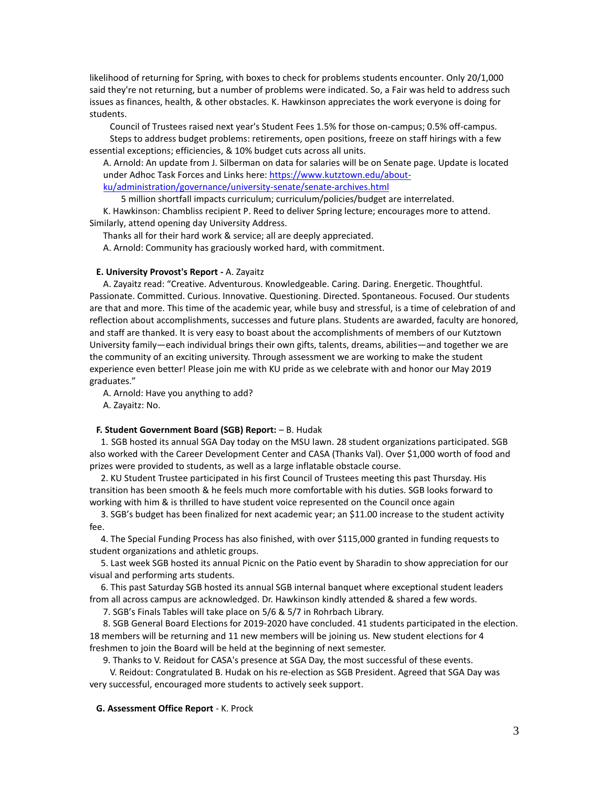likelihood of returning for Spring, with boxes to check for problems students encounter. Only 20/1,000 said they're not returning, but a number of problems were indicated. So, a Fair was held to address such issues as finances, health, & other obstacles. K. Hawkinson appreciates the work everyone is doing for students.

 Council of Trustees raised next year's Student Fees 1.5% for those on-campus; 0.5% off-campus. Steps to address budget problems: retirements, open positions, freeze on staff hirings with a few essential exceptions; efficiencies, & 10% budget cuts across all units.

A. Arnold: An update from J. Silberman on data for salaries will be on Senate page. Update is located under Adhoc Task Forces and Links here: [https://www.kutztown.edu/about](https://www.kutztown.edu/about-ku/administration/governance/university-senate/senate-archives.html)[ku/administration/governance/university-senate/senate-archives.html](https://www.kutztown.edu/about-ku/administration/governance/university-senate/senate-archives.html) 

5 million shortfall impacts curriculum; curriculum/policies/budget are interrelated.

 K. Hawkinson: Chambliss recipient P. Reed to deliver Spring lecture; encourages more to attend. Similarly, attend opening day University Address.

Thanks all for their hard work & service; all are deeply appreciated.

A. Arnold: Community has graciously worked hard, with commitment.

### **E. University Provost's Report -** A. Zayaitz

 A. Zayaitz read: "Creative. Adventurous. Knowledgeable. Caring. Daring. Energetic. Thoughtful. Passionate. Committed. Curious. Innovative. Questioning. Directed. Spontaneous. Focused. Our students are that and more. This time of the academic year, while busy and stressful, is a time of celebration of and reflection about accomplishments, successes and future plans. Students are awarded, faculty are honored, and staff are thanked. It is very easy to boast about the accomplishments of members of our Kutztown University family—each individual brings their own gifts, talents, dreams, abilities—and together we are the community of an exciting university. Through assessment we are working to make the student experience even better! Please join me with KU pride as we celebrate with and honor our May 2019 graduates."

A. Arnold: Have you anything to add?

A. Zayaitz: No.

#### **F. Student Government Board (SGB) Report:** – B. Hudak

 1. SGB hosted its annual SGA Day today on the MSU lawn. 28 student organizations participated. SGB also worked with the Career Development Center and CASA (Thanks Val). Over \$1,000 worth of food and prizes were provided to students, as well as a large inflatable obstacle course.

 2. KU Student Trustee participated in his first Council of Trustees meeting this past Thursday. His transition has been smooth & he feels much more comfortable with his duties. SGB looks forward to working with him & is thrilled to have student voice represented on the Council once again

 3. SGB's budget has been finalized for next academic year; an \$11.00 increase to the student activity fee.

 4. The Special Funding Process has also finished, with over \$115,000 granted in funding requests to student organizations and athletic groups.

 5. Last week SGB hosted its annual Picnic on the Patio event by Sharadin to show appreciation for our visual and performing arts students.

 6. This past Saturday SGB hosted its annual SGB internal banquet where exceptional student leaders from all across campus are acknowledged. Dr. Hawkinson kindly attended & shared a few words.

7. SGB's Finals Tables will take place on 5/6 & 5/7 in Rohrbach Library.

 8. SGB General Board Elections for 2019-2020 have concluded. 41 students participated in the election. 18 members will be returning and 11 new members will be joining us. New student elections for 4 freshmen to join the Board will be held at the beginning of next semester.

9. Thanks to V. Reidout for CASA's presence at SGA Day, the most successful of these events.

 V. Reidout: Congratulated B. Hudak on his re-election as SGB President. Agreed that SGA Day was very successful, encouraged more students to actively seek support.

## **G. Assessment Office Report** - K. Prock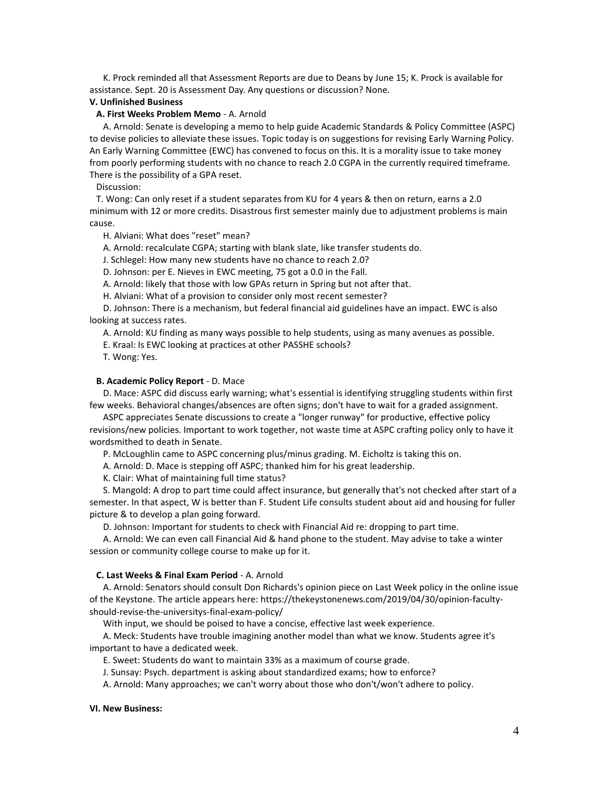K. Prock reminded all that Assessment Reports are due to Deans by June 15; K. Prock is available for assistance. Sept. 20 is Assessment Day. Any questions or discussion? None.

## **V. Unfinished Business**

## **A. First Weeks Problem Memo** - A. Arnold

 A. Arnold: Senate is developing a memo to help guide Academic Standards & Policy Committee (ASPC) to devise policies to alleviate these issues. Topic today is on suggestions for revising Early Warning Policy. An Early Warning Committee (EWC) has convened to focus on this. It is a morality issue to take money from poorly performing students with no chance to reach 2.0 CGPA in the currently required timeframe. There is the possibility of a GPA reset.

Discussion:

 T. Wong: Can only reset if a student separates from KU for 4 years & then on return, earns a 2.0 minimum with 12 or more credits. Disastrous first semester mainly due to adjustment problems is main cause.

H. Alviani: What does "reset" mean?

A. Arnold: recalculate CGPA; starting with blank slate, like transfer students do.

J. Schlegel: How many new students have no chance to reach 2.0?

D. Johnson: per E. Nieves in EWC meeting, 75 got a 0.0 in the Fall.

A. Arnold: likely that those with low GPAs return in Spring but not after that.

H. Alviani: What of a provision to consider only most recent semester?

 D. Johnson: There is a mechanism, but federal financial aid guidelines have an impact. EWC is also looking at success rates.

A. Arnold: KU finding as many ways possible to help students, using as many avenues as possible.

E. Kraal: Is EWC looking at practices at other PASSHE schools?

T. Wong: Yes.

## **B. Academic Policy Report** - D. Mace

 D. Mace: ASPC did discuss early warning; what's essential is identifying struggling students within first few weeks. Behavioral changes/absences are often signs; don't have to wait for a graded assignment.

 ASPC appreciates Senate discussions to create a "longer runway" for productive, effective policy revisions/new policies. Important to work together, not waste time at ASPC crafting policy only to have it wordsmithed to death in Senate.

P. McLoughlin came to ASPC concerning plus/minus grading. M. Eicholtz is taking this on.

A. Arnold: D. Mace is stepping off ASPC; thanked him for his great leadership.

K. Clair: What of maintaining full time status?

 S. Mangold: A drop to part time could affect insurance, but generally that's not checked after start of a semester. In that aspect, W is better than F. Student Life consults student about aid and housing for fuller picture & to develop a plan going forward.

D. Johnson: Important for students to check with Financial Aid re: dropping to part time.

 A. Arnold: We can even call Financial Aid & hand phone to the student. May advise to take a winter session or community college course to make up for it.

## **C. Last Weeks & Final Exam Period** - A. Arnold

 A. Arnold: Senators should consult Don Richards's opinion piece on Last Week policy in the online issue of the Keystone. The article appears here: https://thekeystonenews.com/2019/04/30/opinion-facultyshould-revise-the-universitys-final-exam-policy/

With input, we should be poised to have a concise, effective last week experience.

 A. Meck: Students have trouble imagining another model than what we know. Students agree it's important to have a dedicated week.

E. Sweet: Students do want to maintain 33% as a maximum of course grade.

J. Sunsay: Psych. department is asking about standardized exams; how to enforce?

A. Arnold: Many approaches; we can't worry about those who don't/won't adhere to policy.

## **VI. New Business:**